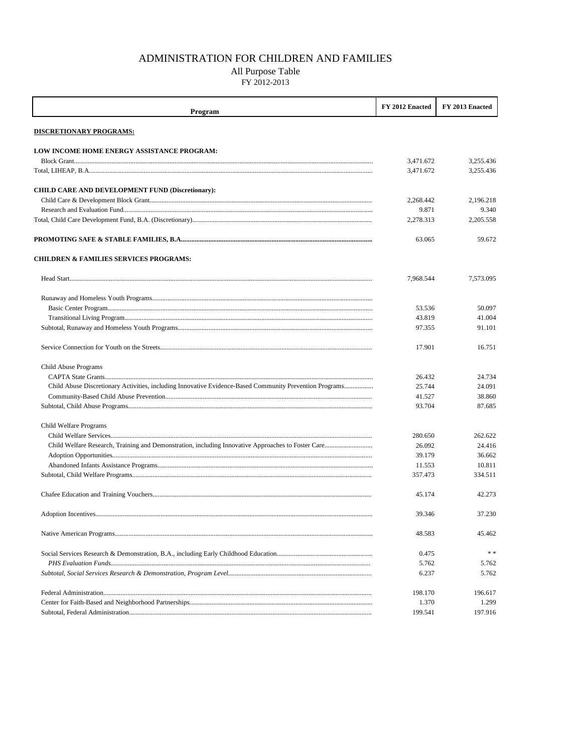## ADMINISTRATION FOR CHILDREN AND FAMILIES

## All Purpose Table

FY 2012-2013

| Program                                                 | FY 2012 Enacted | FY 2013 Enacted |
|---------------------------------------------------------|-----------------|-----------------|
| <b>DISCRETIONARY PROGRAMS:</b>                          |                 |                 |
| <b>LOW INCOME HOME ENERGY ASSISTANCE PROGRAM:</b>       |                 |                 |
|                                                         | 3,471.672       | 3.255.436       |
|                                                         | 3,471.672       | 3,255.436       |
| <b>CHILD CARE AND DEVELOPMENT FUND (Discretionary):</b> |                 |                 |
|                                                         | 2,268.442       | 2,196.218       |
|                                                         | 9.871           | 9.340           |
|                                                         | 2,278.313       | 2,205.558       |
|                                                         | 63.065          | 59.672          |
| <b>CHILDREN &amp; FAMILIES SERVICES PROGRAMS:</b>       |                 |                 |
|                                                         | 7,968.544       | 7,573.095       |
|                                                         |                 |                 |
|                                                         | 53.536          | 50.097          |
|                                                         | 43.819          | 41.004          |
|                                                         | 97.355          | 91.101          |
|                                                         | 17.901          | 16.751          |
| Child Abuse Programs                                    |                 |                 |
|                                                         | 26.432          | 24.734          |
|                                                         | 25.744          | 24.091          |
|                                                         | 41.527          | 38.860          |
|                                                         | 93.704          | 87.685          |
| Child Welfare Programs                                  |                 |                 |
|                                                         | 280.650         | 262.622         |
|                                                         | 26.092          | 24.416          |
|                                                         | 39.179          | 36.662          |
|                                                         | 11.553          | 10.811          |
|                                                         | 357.473         | 334.511         |
|                                                         | 45.174          | 42.273          |
|                                                         | 39.346          | 37.230          |
|                                                         | 48.583          | 45.462          |
|                                                         | 0.475           | * *             |
|                                                         | 5.762           | 5.762           |
|                                                         | 6.237           | 5.762           |
|                                                         | 198.170         | 196.617         |
|                                                         | 1.370           | 1.299           |
|                                                         | 199.541         | 197.916         |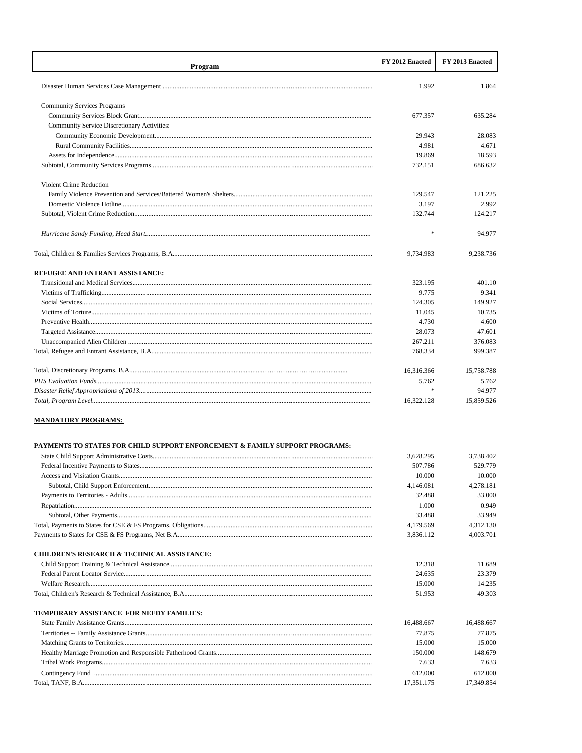| Program                                     | FY 2012 Enacted | FY 2013 Enacted |
|---------------------------------------------|-----------------|-----------------|
|                                             |                 |                 |
|                                             | 1.992           | 1.864           |
|                                             |                 |                 |
| <b>Community Services Programs</b>          |                 |                 |
|                                             | 677.357         | 635.284         |
| Community Service Discretionary Activities: |                 |                 |
|                                             | 29.943          | 28.083          |
|                                             | 4.981           | 4.671           |
|                                             | 19.869          | 18.593          |
|                                             | 732.151         | 686.632         |
| <b>Violent Crime Reduction</b>              |                 |                 |
|                                             | 129.547         | 121.225         |
|                                             | 3.197           | 2.992           |
|                                             | 132.744         | 124.217         |
|                                             | $\frac{1}{2}$   | 94.977          |
|                                             | 9,734.983       | 9,238.736       |
| REFUGEE AND ENTRANT ASSISTANCE:             |                 |                 |
|                                             | 323.195         | 401.10          |
|                                             | 9.775           | 9.341           |
|                                             | 124.305         | 149.927         |
|                                             | 11.045          | 10.735          |
|                                             | 4.730           | 4.600           |
|                                             | 28.073          | 47.601          |
|                                             | 267.211         | 376.083         |
|                                             | 768.334         | 999.387         |
|                                             | 16,316.366      | 15,758.788      |
|                                             | 5.762           | 5.762           |
|                                             | ź.              | 94.977          |
| Total, Program Level.                       | 16.322.128      | 15.859.526      |

## **MANDATORY PROGRAMS:**

## PAYMENTS TO STATES FOR CHILD SUPPORT ENFORCEMENT & FAMILY SUPPORT PROGRAMS:

|                                                        | 3,628.295  | 3,738.402  |
|--------------------------------------------------------|------------|------------|
|                                                        | 507.786    | 529.779    |
|                                                        | 10.000     | 10.000     |
|                                                        | 4,146,081  | 4,278.181  |
|                                                        | 32.488     | 33.000     |
|                                                        | 1.000      | 0.949      |
|                                                        | 33.488     | 33.949     |
|                                                        | 4,179.569  | 4.312.130  |
|                                                        | 3.836.112  | 4,003.701  |
| <b>CHILDREN'S RESEARCH &amp; TECHNICAL ASSISTANCE:</b> |            |            |
|                                                        | 12.318     | 11.689     |
|                                                        | 24.635     | 23.379     |
|                                                        | 15.000     | 14.235     |
|                                                        | 51.953     | 49.303     |
| <b>TEMPORARY ASSISTANCE FOR NEEDY FAMILIES:</b>        |            |            |
|                                                        | 16,488,667 | 16.488.667 |
|                                                        | 77.875     | 77.875     |
|                                                        | 15.000     | 15.000     |
|                                                        | 150.000    | 148.679    |
|                                                        | 7.633      | 7.633      |
|                                                        | 612.000    | 612.000    |
|                                                        | 17.351.175 | 17.349.854 |